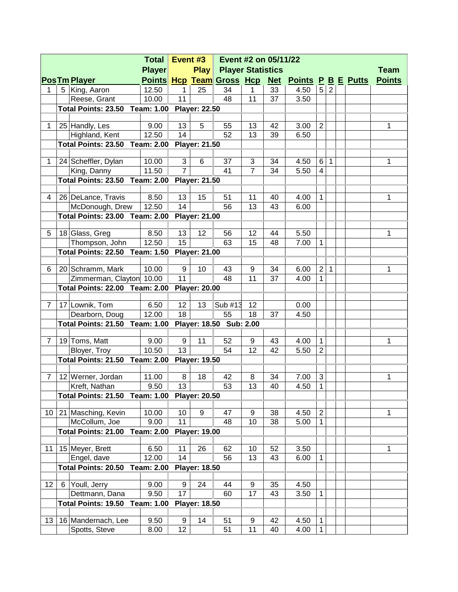| <b>Play Player Statistics</b><br><b>Player</b><br><b>Team</b><br>Points Hcp Team Gross Hcp Net Points P B E Putts<br><b>Points</b><br><b>PosTm Player</b><br>12.50<br>5<br>34<br>33<br>4.50<br>2<br>5 King, Aaron<br>25<br>1<br>1.<br>1<br>11<br>10.00<br>48<br>11<br>37<br>3.50<br>Reese, Grant<br>Total Points: 23.50 Team: 1.00 Player: 22.50<br>9.00<br>13<br>5<br>$\overline{2}$<br>25 Handly, Les<br>55<br>13<br>42<br>3.00<br>1<br>1<br>14<br>Highland, Kent<br>12.50<br>52<br>13<br>39<br>6.50<br><b>Total Points: 23.50 Team: 2.00</b><br><b>Player: 21.50</b><br>3<br>10.00<br>6<br>3<br>34<br>4.50<br>24 Scheffler, Dylan<br>37<br>6<br>1<br>1<br>1<br>$\overline{7}$<br>$\overline{7}$<br>11.50<br>41<br>34<br>5.50<br>King, Danny<br>4<br><b>Total Points: 23.50 Team: 2.00</b><br><b>Player: 21.50</b><br>8.50<br>13<br>15<br>4.00<br>1<br>26   DeLance, Travis<br>51<br>11<br>40<br>1<br>4<br>14<br>12.50<br>56<br>13<br>43<br>McDonough, Drew<br>6.00<br><b>Total Points: 23.00 Team: 2.00</b><br><b>Player: 21.00</b><br>5.50<br>18 Glass, Greg<br>8.50<br>13<br>12<br>12<br>1<br>5<br>56<br>44<br>15<br>Thompson, John<br>12.50<br>63<br>48<br>15<br>7.00<br>1<br>Total Points: 22.50 Team: 1.50<br><b>Player: 21.00</b><br>$\overline{2}$<br>20 Schramm, Mark<br>10.00<br>9<br>10<br>34<br>6.00<br>1<br>1<br>43<br>9<br>6<br>11<br>48<br>37<br>Zimmerman, Clayton 10.00<br>11<br>4.00<br>1<br><b>Total Points: 22.00 Team: 2.00</b><br><b>Player: 20.00</b><br>17 Lownik, Tom<br>6.50<br>12<br>13<br>Sub #13<br>12<br>0.00<br>$\overline{7}$<br>18<br>Dearborn, Doug<br>12.00<br>55<br>37<br>18<br>4.50<br><b>Total Points: 21.50 Team: 1.00</b><br>Player: 18.50 Sub: 2.00<br>19 Toms, Matt<br>9<br>4.00<br>9.00<br>11<br>52<br>9<br>43<br>1<br>1<br>7<br>13<br>Bloyer, Troy<br>10.50<br>12<br>42<br>$\overline{2}$<br>54<br>5.50<br>Total Points: 21.50 Team: 2.00 Player: 19.50<br>$\sqrt{3}$<br>12 Werner, Jordan<br>11.00<br>8<br>18<br>34<br>7.00<br>1<br>42<br>8<br>7<br>$\mathbf 1$<br>13 <sup>°</sup><br>53<br>13<br>9.50<br>40<br>4.50<br>Kreft, Nathan<br>Total Points: 21.50 Team: 1.00 Player: 20.50<br>$\mathbf 2$<br>21 Masching, Kevin<br>10.00<br>10<br>4.50<br>10 <sup>°</sup><br>9<br>47<br>9<br>38<br>1<br>11<br>McCollum, Joe<br>9.00<br>1<br>48<br>10<br>38<br>5.00<br><b>Player: 19.00</b><br><b>Total Points: 21.00</b><br><b>Team: 2.00</b><br>15 Meyer, Brett<br>26<br>62<br>52<br>3.50<br>11<br>6.50<br>11<br>10<br>1<br>14<br>Engel, dave<br>12.00<br>56<br>13<br>43<br>6.00<br>1<br><b>Total Points: 20.50</b><br><b>Team: 2.00</b><br><b>Player: 18.50</b><br>4.50<br>12<br>Youll, Jerry<br>9.00<br>9<br>24<br>44<br>9<br>35<br>6<br>17<br>Dettmann, Dana<br>9.50<br>17<br>3.50<br>60<br>43<br>1<br><b>Total Points: 19.50</b><br><b>Team: 1.00</b><br><b>Player: 18.50</b><br>16 Mandernach, Lee<br>9.50<br>9<br>14<br>42<br>4.50<br>13<br>51<br>9<br>1 |  |               | <b>Total</b> |                 | Event #3 | Event #2 on 05/11/22 |    |    |      |   |  |  |  |
|-----------------------------------------------------------------------------------------------------------------------------------------------------------------------------------------------------------------------------------------------------------------------------------------------------------------------------------------------------------------------------------------------------------------------------------------------------------------------------------------------------------------------------------------------------------------------------------------------------------------------------------------------------------------------------------------------------------------------------------------------------------------------------------------------------------------------------------------------------------------------------------------------------------------------------------------------------------------------------------------------------------------------------------------------------------------------------------------------------------------------------------------------------------------------------------------------------------------------------------------------------------------------------------------------------------------------------------------------------------------------------------------------------------------------------------------------------------------------------------------------------------------------------------------------------------------------------------------------------------------------------------------------------------------------------------------------------------------------------------------------------------------------------------------------------------------------------------------------------------------------------------------------------------------------------------------------------------------------------------------------------------------------------------------------------------------------------------------------------------------------------------------------------------------------------------------------------------------------------------------------------------------------------------------------------------------------------------------------------------------------------------------------------------------------------------------------------------------------------------------------------------------------------------------------------------------------------------------------------------------------------------------------------------------------------------------------------------------------------------------------------------------------------------------------------------------------------------------------------------------------------------------------------------|--|---------------|--------------|-----------------|----------|----------------------|----|----|------|---|--|--|--|
|                                                                                                                                                                                                                                                                                                                                                                                                                                                                                                                                                                                                                                                                                                                                                                                                                                                                                                                                                                                                                                                                                                                                                                                                                                                                                                                                                                                                                                                                                                                                                                                                                                                                                                                                                                                                                                                                                                                                                                                                                                                                                                                                                                                                                                                                                                                                                                                                                                                                                                                                                                                                                                                                                                                                                                                                                                                                                                           |  |               |              |                 |          |                      |    |    |      |   |  |  |  |
|                                                                                                                                                                                                                                                                                                                                                                                                                                                                                                                                                                                                                                                                                                                                                                                                                                                                                                                                                                                                                                                                                                                                                                                                                                                                                                                                                                                                                                                                                                                                                                                                                                                                                                                                                                                                                                                                                                                                                                                                                                                                                                                                                                                                                                                                                                                                                                                                                                                                                                                                                                                                                                                                                                                                                                                                                                                                                                           |  |               |              |                 |          |                      |    |    |      |   |  |  |  |
|                                                                                                                                                                                                                                                                                                                                                                                                                                                                                                                                                                                                                                                                                                                                                                                                                                                                                                                                                                                                                                                                                                                                                                                                                                                                                                                                                                                                                                                                                                                                                                                                                                                                                                                                                                                                                                                                                                                                                                                                                                                                                                                                                                                                                                                                                                                                                                                                                                                                                                                                                                                                                                                                                                                                                                                                                                                                                                           |  |               |              |                 |          |                      |    |    |      |   |  |  |  |
|                                                                                                                                                                                                                                                                                                                                                                                                                                                                                                                                                                                                                                                                                                                                                                                                                                                                                                                                                                                                                                                                                                                                                                                                                                                                                                                                                                                                                                                                                                                                                                                                                                                                                                                                                                                                                                                                                                                                                                                                                                                                                                                                                                                                                                                                                                                                                                                                                                                                                                                                                                                                                                                                                                                                                                                                                                                                                                           |  |               |              |                 |          |                      |    |    |      |   |  |  |  |
|                                                                                                                                                                                                                                                                                                                                                                                                                                                                                                                                                                                                                                                                                                                                                                                                                                                                                                                                                                                                                                                                                                                                                                                                                                                                                                                                                                                                                                                                                                                                                                                                                                                                                                                                                                                                                                                                                                                                                                                                                                                                                                                                                                                                                                                                                                                                                                                                                                                                                                                                                                                                                                                                                                                                                                                                                                                                                                           |  |               |              |                 |          |                      |    |    |      |   |  |  |  |
|                                                                                                                                                                                                                                                                                                                                                                                                                                                                                                                                                                                                                                                                                                                                                                                                                                                                                                                                                                                                                                                                                                                                                                                                                                                                                                                                                                                                                                                                                                                                                                                                                                                                                                                                                                                                                                                                                                                                                                                                                                                                                                                                                                                                                                                                                                                                                                                                                                                                                                                                                                                                                                                                                                                                                                                                                                                                                                           |  |               |              |                 |          |                      |    |    |      |   |  |  |  |
|                                                                                                                                                                                                                                                                                                                                                                                                                                                                                                                                                                                                                                                                                                                                                                                                                                                                                                                                                                                                                                                                                                                                                                                                                                                                                                                                                                                                                                                                                                                                                                                                                                                                                                                                                                                                                                                                                                                                                                                                                                                                                                                                                                                                                                                                                                                                                                                                                                                                                                                                                                                                                                                                                                                                                                                                                                                                                                           |  |               |              |                 |          |                      |    |    |      |   |  |  |  |
|                                                                                                                                                                                                                                                                                                                                                                                                                                                                                                                                                                                                                                                                                                                                                                                                                                                                                                                                                                                                                                                                                                                                                                                                                                                                                                                                                                                                                                                                                                                                                                                                                                                                                                                                                                                                                                                                                                                                                                                                                                                                                                                                                                                                                                                                                                                                                                                                                                                                                                                                                                                                                                                                                                                                                                                                                                                                                                           |  |               |              |                 |          |                      |    |    |      |   |  |  |  |
|                                                                                                                                                                                                                                                                                                                                                                                                                                                                                                                                                                                                                                                                                                                                                                                                                                                                                                                                                                                                                                                                                                                                                                                                                                                                                                                                                                                                                                                                                                                                                                                                                                                                                                                                                                                                                                                                                                                                                                                                                                                                                                                                                                                                                                                                                                                                                                                                                                                                                                                                                                                                                                                                                                                                                                                                                                                                                                           |  |               |              |                 |          |                      |    |    |      |   |  |  |  |
|                                                                                                                                                                                                                                                                                                                                                                                                                                                                                                                                                                                                                                                                                                                                                                                                                                                                                                                                                                                                                                                                                                                                                                                                                                                                                                                                                                                                                                                                                                                                                                                                                                                                                                                                                                                                                                                                                                                                                                                                                                                                                                                                                                                                                                                                                                                                                                                                                                                                                                                                                                                                                                                                                                                                                                                                                                                                                                           |  |               |              |                 |          |                      |    |    |      |   |  |  |  |
|                                                                                                                                                                                                                                                                                                                                                                                                                                                                                                                                                                                                                                                                                                                                                                                                                                                                                                                                                                                                                                                                                                                                                                                                                                                                                                                                                                                                                                                                                                                                                                                                                                                                                                                                                                                                                                                                                                                                                                                                                                                                                                                                                                                                                                                                                                                                                                                                                                                                                                                                                                                                                                                                                                                                                                                                                                                                                                           |  |               |              |                 |          |                      |    |    |      |   |  |  |  |
|                                                                                                                                                                                                                                                                                                                                                                                                                                                                                                                                                                                                                                                                                                                                                                                                                                                                                                                                                                                                                                                                                                                                                                                                                                                                                                                                                                                                                                                                                                                                                                                                                                                                                                                                                                                                                                                                                                                                                                                                                                                                                                                                                                                                                                                                                                                                                                                                                                                                                                                                                                                                                                                                                                                                                                                                                                                                                                           |  |               |              |                 |          |                      |    |    |      |   |  |  |  |
|                                                                                                                                                                                                                                                                                                                                                                                                                                                                                                                                                                                                                                                                                                                                                                                                                                                                                                                                                                                                                                                                                                                                                                                                                                                                                                                                                                                                                                                                                                                                                                                                                                                                                                                                                                                                                                                                                                                                                                                                                                                                                                                                                                                                                                                                                                                                                                                                                                                                                                                                                                                                                                                                                                                                                                                                                                                                                                           |  |               |              |                 |          |                      |    |    |      |   |  |  |  |
|                                                                                                                                                                                                                                                                                                                                                                                                                                                                                                                                                                                                                                                                                                                                                                                                                                                                                                                                                                                                                                                                                                                                                                                                                                                                                                                                                                                                                                                                                                                                                                                                                                                                                                                                                                                                                                                                                                                                                                                                                                                                                                                                                                                                                                                                                                                                                                                                                                                                                                                                                                                                                                                                                                                                                                                                                                                                                                           |  |               |              |                 |          |                      |    |    |      |   |  |  |  |
|                                                                                                                                                                                                                                                                                                                                                                                                                                                                                                                                                                                                                                                                                                                                                                                                                                                                                                                                                                                                                                                                                                                                                                                                                                                                                                                                                                                                                                                                                                                                                                                                                                                                                                                                                                                                                                                                                                                                                                                                                                                                                                                                                                                                                                                                                                                                                                                                                                                                                                                                                                                                                                                                                                                                                                                                                                                                                                           |  |               |              |                 |          |                      |    |    |      |   |  |  |  |
|                                                                                                                                                                                                                                                                                                                                                                                                                                                                                                                                                                                                                                                                                                                                                                                                                                                                                                                                                                                                                                                                                                                                                                                                                                                                                                                                                                                                                                                                                                                                                                                                                                                                                                                                                                                                                                                                                                                                                                                                                                                                                                                                                                                                                                                                                                                                                                                                                                                                                                                                                                                                                                                                                                                                                                                                                                                                                                           |  |               |              |                 |          |                      |    |    |      |   |  |  |  |
|                                                                                                                                                                                                                                                                                                                                                                                                                                                                                                                                                                                                                                                                                                                                                                                                                                                                                                                                                                                                                                                                                                                                                                                                                                                                                                                                                                                                                                                                                                                                                                                                                                                                                                                                                                                                                                                                                                                                                                                                                                                                                                                                                                                                                                                                                                                                                                                                                                                                                                                                                                                                                                                                                                                                                                                                                                                                                                           |  |               |              |                 |          |                      |    |    |      |   |  |  |  |
|                                                                                                                                                                                                                                                                                                                                                                                                                                                                                                                                                                                                                                                                                                                                                                                                                                                                                                                                                                                                                                                                                                                                                                                                                                                                                                                                                                                                                                                                                                                                                                                                                                                                                                                                                                                                                                                                                                                                                                                                                                                                                                                                                                                                                                                                                                                                                                                                                                                                                                                                                                                                                                                                                                                                                                                                                                                                                                           |  |               |              |                 |          |                      |    |    |      |   |  |  |  |
|                                                                                                                                                                                                                                                                                                                                                                                                                                                                                                                                                                                                                                                                                                                                                                                                                                                                                                                                                                                                                                                                                                                                                                                                                                                                                                                                                                                                                                                                                                                                                                                                                                                                                                                                                                                                                                                                                                                                                                                                                                                                                                                                                                                                                                                                                                                                                                                                                                                                                                                                                                                                                                                                                                                                                                                                                                                                                                           |  |               |              |                 |          |                      |    |    |      |   |  |  |  |
|                                                                                                                                                                                                                                                                                                                                                                                                                                                                                                                                                                                                                                                                                                                                                                                                                                                                                                                                                                                                                                                                                                                                                                                                                                                                                                                                                                                                                                                                                                                                                                                                                                                                                                                                                                                                                                                                                                                                                                                                                                                                                                                                                                                                                                                                                                                                                                                                                                                                                                                                                                                                                                                                                                                                                                                                                                                                                                           |  |               |              |                 |          |                      |    |    |      |   |  |  |  |
|                                                                                                                                                                                                                                                                                                                                                                                                                                                                                                                                                                                                                                                                                                                                                                                                                                                                                                                                                                                                                                                                                                                                                                                                                                                                                                                                                                                                                                                                                                                                                                                                                                                                                                                                                                                                                                                                                                                                                                                                                                                                                                                                                                                                                                                                                                                                                                                                                                                                                                                                                                                                                                                                                                                                                                                                                                                                                                           |  |               |              |                 |          |                      |    |    |      |   |  |  |  |
|                                                                                                                                                                                                                                                                                                                                                                                                                                                                                                                                                                                                                                                                                                                                                                                                                                                                                                                                                                                                                                                                                                                                                                                                                                                                                                                                                                                                                                                                                                                                                                                                                                                                                                                                                                                                                                                                                                                                                                                                                                                                                                                                                                                                                                                                                                                                                                                                                                                                                                                                                                                                                                                                                                                                                                                                                                                                                                           |  |               |              |                 |          |                      |    |    |      |   |  |  |  |
|                                                                                                                                                                                                                                                                                                                                                                                                                                                                                                                                                                                                                                                                                                                                                                                                                                                                                                                                                                                                                                                                                                                                                                                                                                                                                                                                                                                                                                                                                                                                                                                                                                                                                                                                                                                                                                                                                                                                                                                                                                                                                                                                                                                                                                                                                                                                                                                                                                                                                                                                                                                                                                                                                                                                                                                                                                                                                                           |  |               |              |                 |          |                      |    |    |      |   |  |  |  |
|                                                                                                                                                                                                                                                                                                                                                                                                                                                                                                                                                                                                                                                                                                                                                                                                                                                                                                                                                                                                                                                                                                                                                                                                                                                                                                                                                                                                                                                                                                                                                                                                                                                                                                                                                                                                                                                                                                                                                                                                                                                                                                                                                                                                                                                                                                                                                                                                                                                                                                                                                                                                                                                                                                                                                                                                                                                                                                           |  |               |              |                 |          |                      |    |    |      |   |  |  |  |
|                                                                                                                                                                                                                                                                                                                                                                                                                                                                                                                                                                                                                                                                                                                                                                                                                                                                                                                                                                                                                                                                                                                                                                                                                                                                                                                                                                                                                                                                                                                                                                                                                                                                                                                                                                                                                                                                                                                                                                                                                                                                                                                                                                                                                                                                                                                                                                                                                                                                                                                                                                                                                                                                                                                                                                                                                                                                                                           |  |               |              |                 |          |                      |    |    |      |   |  |  |  |
|                                                                                                                                                                                                                                                                                                                                                                                                                                                                                                                                                                                                                                                                                                                                                                                                                                                                                                                                                                                                                                                                                                                                                                                                                                                                                                                                                                                                                                                                                                                                                                                                                                                                                                                                                                                                                                                                                                                                                                                                                                                                                                                                                                                                                                                                                                                                                                                                                                                                                                                                                                                                                                                                                                                                                                                                                                                                                                           |  |               |              |                 |          |                      |    |    |      |   |  |  |  |
|                                                                                                                                                                                                                                                                                                                                                                                                                                                                                                                                                                                                                                                                                                                                                                                                                                                                                                                                                                                                                                                                                                                                                                                                                                                                                                                                                                                                                                                                                                                                                                                                                                                                                                                                                                                                                                                                                                                                                                                                                                                                                                                                                                                                                                                                                                                                                                                                                                                                                                                                                                                                                                                                                                                                                                                                                                                                                                           |  |               |              |                 |          |                      |    |    |      |   |  |  |  |
|                                                                                                                                                                                                                                                                                                                                                                                                                                                                                                                                                                                                                                                                                                                                                                                                                                                                                                                                                                                                                                                                                                                                                                                                                                                                                                                                                                                                                                                                                                                                                                                                                                                                                                                                                                                                                                                                                                                                                                                                                                                                                                                                                                                                                                                                                                                                                                                                                                                                                                                                                                                                                                                                                                                                                                                                                                                                                                           |  |               |              |                 |          |                      |    |    |      |   |  |  |  |
|                                                                                                                                                                                                                                                                                                                                                                                                                                                                                                                                                                                                                                                                                                                                                                                                                                                                                                                                                                                                                                                                                                                                                                                                                                                                                                                                                                                                                                                                                                                                                                                                                                                                                                                                                                                                                                                                                                                                                                                                                                                                                                                                                                                                                                                                                                                                                                                                                                                                                                                                                                                                                                                                                                                                                                                                                                                                                                           |  |               |              |                 |          |                      |    |    |      |   |  |  |  |
|                                                                                                                                                                                                                                                                                                                                                                                                                                                                                                                                                                                                                                                                                                                                                                                                                                                                                                                                                                                                                                                                                                                                                                                                                                                                                                                                                                                                                                                                                                                                                                                                                                                                                                                                                                                                                                                                                                                                                                                                                                                                                                                                                                                                                                                                                                                                                                                                                                                                                                                                                                                                                                                                                                                                                                                                                                                                                                           |  |               |              |                 |          |                      |    |    |      |   |  |  |  |
|                                                                                                                                                                                                                                                                                                                                                                                                                                                                                                                                                                                                                                                                                                                                                                                                                                                                                                                                                                                                                                                                                                                                                                                                                                                                                                                                                                                                                                                                                                                                                                                                                                                                                                                                                                                                                                                                                                                                                                                                                                                                                                                                                                                                                                                                                                                                                                                                                                                                                                                                                                                                                                                                                                                                                                                                                                                                                                           |  |               |              |                 |          |                      |    |    |      |   |  |  |  |
|                                                                                                                                                                                                                                                                                                                                                                                                                                                                                                                                                                                                                                                                                                                                                                                                                                                                                                                                                                                                                                                                                                                                                                                                                                                                                                                                                                                                                                                                                                                                                                                                                                                                                                                                                                                                                                                                                                                                                                                                                                                                                                                                                                                                                                                                                                                                                                                                                                                                                                                                                                                                                                                                                                                                                                                                                                                                                                           |  |               |              |                 |          |                      |    |    |      |   |  |  |  |
|                                                                                                                                                                                                                                                                                                                                                                                                                                                                                                                                                                                                                                                                                                                                                                                                                                                                                                                                                                                                                                                                                                                                                                                                                                                                                                                                                                                                                                                                                                                                                                                                                                                                                                                                                                                                                                                                                                                                                                                                                                                                                                                                                                                                                                                                                                                                                                                                                                                                                                                                                                                                                                                                                                                                                                                                                                                                                                           |  |               |              |                 |          |                      |    |    |      |   |  |  |  |
|                                                                                                                                                                                                                                                                                                                                                                                                                                                                                                                                                                                                                                                                                                                                                                                                                                                                                                                                                                                                                                                                                                                                                                                                                                                                                                                                                                                                                                                                                                                                                                                                                                                                                                                                                                                                                                                                                                                                                                                                                                                                                                                                                                                                                                                                                                                                                                                                                                                                                                                                                                                                                                                                                                                                                                                                                                                                                                           |  |               |              |                 |          |                      |    |    |      |   |  |  |  |
|                                                                                                                                                                                                                                                                                                                                                                                                                                                                                                                                                                                                                                                                                                                                                                                                                                                                                                                                                                                                                                                                                                                                                                                                                                                                                                                                                                                                                                                                                                                                                                                                                                                                                                                                                                                                                                                                                                                                                                                                                                                                                                                                                                                                                                                                                                                                                                                                                                                                                                                                                                                                                                                                                                                                                                                                                                                                                                           |  |               |              |                 |          |                      |    |    |      |   |  |  |  |
|                                                                                                                                                                                                                                                                                                                                                                                                                                                                                                                                                                                                                                                                                                                                                                                                                                                                                                                                                                                                                                                                                                                                                                                                                                                                                                                                                                                                                                                                                                                                                                                                                                                                                                                                                                                                                                                                                                                                                                                                                                                                                                                                                                                                                                                                                                                                                                                                                                                                                                                                                                                                                                                                                                                                                                                                                                                                                                           |  |               |              |                 |          |                      |    |    |      |   |  |  |  |
|                                                                                                                                                                                                                                                                                                                                                                                                                                                                                                                                                                                                                                                                                                                                                                                                                                                                                                                                                                                                                                                                                                                                                                                                                                                                                                                                                                                                                                                                                                                                                                                                                                                                                                                                                                                                                                                                                                                                                                                                                                                                                                                                                                                                                                                                                                                                                                                                                                                                                                                                                                                                                                                                                                                                                                                                                                                                                                           |  |               |              |                 |          |                      |    |    |      |   |  |  |  |
|                                                                                                                                                                                                                                                                                                                                                                                                                                                                                                                                                                                                                                                                                                                                                                                                                                                                                                                                                                                                                                                                                                                                                                                                                                                                                                                                                                                                                                                                                                                                                                                                                                                                                                                                                                                                                                                                                                                                                                                                                                                                                                                                                                                                                                                                                                                                                                                                                                                                                                                                                                                                                                                                                                                                                                                                                                                                                                           |  |               |              |                 |          |                      |    |    |      |   |  |  |  |
|                                                                                                                                                                                                                                                                                                                                                                                                                                                                                                                                                                                                                                                                                                                                                                                                                                                                                                                                                                                                                                                                                                                                                                                                                                                                                                                                                                                                                                                                                                                                                                                                                                                                                                                                                                                                                                                                                                                                                                                                                                                                                                                                                                                                                                                                                                                                                                                                                                                                                                                                                                                                                                                                                                                                                                                                                                                                                                           |  |               |              |                 |          |                      |    |    |      |   |  |  |  |
|                                                                                                                                                                                                                                                                                                                                                                                                                                                                                                                                                                                                                                                                                                                                                                                                                                                                                                                                                                                                                                                                                                                                                                                                                                                                                                                                                                                                                                                                                                                                                                                                                                                                                                                                                                                                                                                                                                                                                                                                                                                                                                                                                                                                                                                                                                                                                                                                                                                                                                                                                                                                                                                                                                                                                                                                                                                                                                           |  |               |              |                 |          |                      |    |    |      |   |  |  |  |
|                                                                                                                                                                                                                                                                                                                                                                                                                                                                                                                                                                                                                                                                                                                                                                                                                                                                                                                                                                                                                                                                                                                                                                                                                                                                                                                                                                                                                                                                                                                                                                                                                                                                                                                                                                                                                                                                                                                                                                                                                                                                                                                                                                                                                                                                                                                                                                                                                                                                                                                                                                                                                                                                                                                                                                                                                                                                                                           |  |               |              |                 |          |                      |    |    |      |   |  |  |  |
|                                                                                                                                                                                                                                                                                                                                                                                                                                                                                                                                                                                                                                                                                                                                                                                                                                                                                                                                                                                                                                                                                                                                                                                                                                                                                                                                                                                                                                                                                                                                                                                                                                                                                                                                                                                                                                                                                                                                                                                                                                                                                                                                                                                                                                                                                                                                                                                                                                                                                                                                                                                                                                                                                                                                                                                                                                                                                                           |  |               |              |                 |          |                      |    |    |      |   |  |  |  |
|                                                                                                                                                                                                                                                                                                                                                                                                                                                                                                                                                                                                                                                                                                                                                                                                                                                                                                                                                                                                                                                                                                                                                                                                                                                                                                                                                                                                                                                                                                                                                                                                                                                                                                                                                                                                                                                                                                                                                                                                                                                                                                                                                                                                                                                                                                                                                                                                                                                                                                                                                                                                                                                                                                                                                                                                                                                                                                           |  |               |              |                 |          |                      |    |    |      |   |  |  |  |
|                                                                                                                                                                                                                                                                                                                                                                                                                                                                                                                                                                                                                                                                                                                                                                                                                                                                                                                                                                                                                                                                                                                                                                                                                                                                                                                                                                                                                                                                                                                                                                                                                                                                                                                                                                                                                                                                                                                                                                                                                                                                                                                                                                                                                                                                                                                                                                                                                                                                                                                                                                                                                                                                                                                                                                                                                                                                                                           |  |               |              |                 |          |                      |    |    |      |   |  |  |  |
|                                                                                                                                                                                                                                                                                                                                                                                                                                                                                                                                                                                                                                                                                                                                                                                                                                                                                                                                                                                                                                                                                                                                                                                                                                                                                                                                                                                                                                                                                                                                                                                                                                                                                                                                                                                                                                                                                                                                                                                                                                                                                                                                                                                                                                                                                                                                                                                                                                                                                                                                                                                                                                                                                                                                                                                                                                                                                                           |  |               |              |                 |          |                      |    |    |      |   |  |  |  |
|                                                                                                                                                                                                                                                                                                                                                                                                                                                                                                                                                                                                                                                                                                                                                                                                                                                                                                                                                                                                                                                                                                                                                                                                                                                                                                                                                                                                                                                                                                                                                                                                                                                                                                                                                                                                                                                                                                                                                                                                                                                                                                                                                                                                                                                                                                                                                                                                                                                                                                                                                                                                                                                                                                                                                                                                                                                                                                           |  |               |              |                 |          |                      |    |    |      |   |  |  |  |
|                                                                                                                                                                                                                                                                                                                                                                                                                                                                                                                                                                                                                                                                                                                                                                                                                                                                                                                                                                                                                                                                                                                                                                                                                                                                                                                                                                                                                                                                                                                                                                                                                                                                                                                                                                                                                                                                                                                                                                                                                                                                                                                                                                                                                                                                                                                                                                                                                                                                                                                                                                                                                                                                                                                                                                                                                                                                                                           |  | Spotts, Steve | 8.00         | 12 <sub>2</sub> |          | 51                   | 11 | 40 | 4.00 | 1 |  |  |  |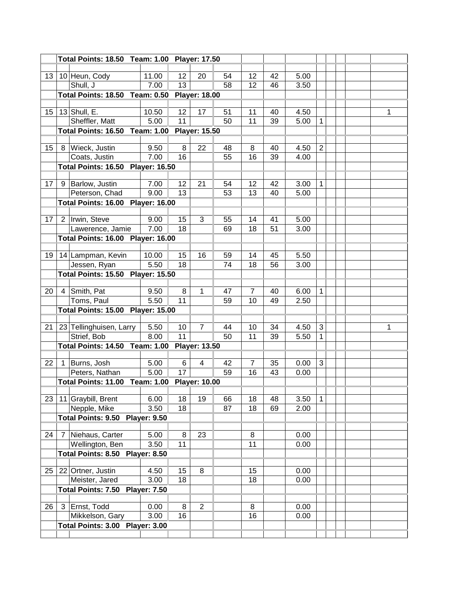|                                          |  | Total Points: 18.50 Team: 1.00 Player: 17.50 |              |    |                      |          |                |          |              |                |  |   |
|------------------------------------------|--|----------------------------------------------|--------------|----|----------------------|----------|----------------|----------|--------------|----------------|--|---|
|                                          |  |                                              |              |    |                      |          |                |          |              |                |  |   |
| 13                                       |  | 10 Heun, Cody                                | 11.00        | 12 | 20                   | 54       | 12             | 42       | 5.00         |                |  |   |
|                                          |  | Shull, J                                     | 7.00         | 13 |                      | 58       | 12             | 46       | 3.50         |                |  |   |
|                                          |  | Total Points: 18.50 Team: 0.50               |              |    | <b>Player: 18.00</b> |          |                |          |              |                |  |   |
|                                          |  |                                              |              |    |                      |          |                |          |              |                |  |   |
| 15                                       |  | 13 Shull, E.                                 | 10.50        | 12 | 17                   | 51       | 11             | 40       | 4.50         |                |  | 1 |
|                                          |  | Sheffler, Matt                               | 5.00         | 11 |                      | 50       | 11             | 39       | 5.00         | 1              |  |   |
|                                          |  | <b>Total Points: 16.50 Team: 1.00</b>        |              |    | <b>Player: 15.50</b> |          |                |          |              |                |  |   |
|                                          |  |                                              |              | 8  |                      |          |                |          |              | $\overline{2}$ |  |   |
| 15                                       |  | 8 Wieck, Justin<br>Coats, Justin             | 9.50<br>7.00 | 16 | 22                   | 48<br>55 | 8<br>16        | 40<br>39 | 4.50<br>4.00 |                |  |   |
|                                          |  |                                              |              |    |                      |          |                |          |              |                |  |   |
| <b>Total Points: 16.50 Player: 16.50</b> |  |                                              |              |    |                      |          |                |          |              |                |  |   |
| 17                                       |  | 9 Barlow, Justin                             | 7.00         | 12 | 21                   | 54       | 12             | 42       | 3.00         | 1              |  |   |
|                                          |  | Peterson, Chad                               | 9.00         | 13 |                      | 53       | 13             | 40       | 5.00         |                |  |   |
|                                          |  | <b>Total Points: 16.00 Player: 16.00</b>     |              |    |                      |          |                |          |              |                |  |   |
|                                          |  |                                              |              |    |                      |          |                |          |              |                |  |   |
| 17                                       |  | 2 Irwin, Steve                               | 9.00         | 15 | 3                    | 55       | 14             | 41       | 5.00         |                |  |   |
|                                          |  | Lawerence, Jamie                             | 7.00         | 18 |                      | 69       | 18             | 51       | 3.00         |                |  |   |
|                                          |  | <b>Total Points: 16.00 Player: 16.00</b>     |              |    |                      |          |                |          |              |                |  |   |
|                                          |  |                                              |              |    |                      |          |                |          |              |                |  |   |
| 19                                       |  | 14 Lampman, Kevin                            | 10.00        | 15 | 16                   | 59       | 14             | 45       | 5.50         |                |  |   |
|                                          |  | Jessen, Ryan                                 | 5.50         | 18 |                      | 74       | 18             | 56       | 3.00         |                |  |   |
|                                          |  | Total Points: 15.50 Player: 15.50            |              |    |                      |          |                |          |              |                |  |   |
|                                          |  |                                              |              |    |                      |          |                |          |              |                |  |   |
| 20                                       |  | 4 Smith, Pat                                 | 9.50<br>5.50 | 8  | 1                    | 47       | 7              | 40       | 6.00         | 1              |  |   |
|                                          |  | Toms, Paul                                   |              | 11 |                      | 59       | 10             | 49       | 2.50         |                |  |   |
|                                          |  | <b>Total Points: 15.00 Player: 15.00</b>     |              |    |                      |          |                |          |              |                |  |   |
| 21                                       |  | 23 Tellinghuisen, Larry                      | 5.50         | 10 | $\overline{7}$       | 44       | 10             | 34       | 4.50         | 3              |  | 1 |
|                                          |  | Strief, Bob                                  | 8.00         | 11 |                      | 50       | 11             | 39       | 5.50         | 1              |  |   |
|                                          |  | <b>Total Points: 14.50 Team: 1.00</b>        |              |    | <b>Player: 13.50</b> |          |                |          |              |                |  |   |
|                                          |  |                                              |              |    |                      |          |                |          |              |                |  |   |
| 22                                       |  | Burns, Josh                                  | 5.00         | 6  | 4                    | 42       | $\overline{7}$ | 35       | 0.00         | 3              |  |   |
|                                          |  | Peters, Nathan                               | 5.00         | 17 |                      | 59       | 16             | 43       | 0.00         |                |  |   |
|                                          |  | Total Points: 11.00 Team: 1.00 Player: 10.00 |              |    |                      |          |                |          |              |                |  |   |
|                                          |  |                                              |              |    |                      |          |                |          |              |                |  |   |
| 23                                       |  | 11 Graybill, Brent                           | 6.00         | 18 | 19                   | 66       | 18             | 48       | 3.50         | 1              |  |   |
|                                          |  | Nepple, Mike                                 | 3.50         | 18 |                      | 87       | 18             | 69       | 2.00         |                |  |   |
|                                          |  | Total Points: 9.50 Player: 9.50              |              |    |                      |          |                |          |              |                |  |   |
|                                          |  |                                              | 5.00         | 8  | 23                   |          | 8              |          | 0.00         |                |  |   |
| 24                                       |  | 7 Niehaus, Carter                            |              |    |                      |          |                |          |              |                |  |   |
|                                          |  | Wellington, Ben                              | 3.50         | 11 |                      |          | 11             |          | 0.00         |                |  |   |
|                                          |  | Total Points: 8.50 Player: 8.50              |              |    |                      |          |                |          |              |                |  |   |
| 25                                       |  | 22 Ortner, Justin                            | 4.50         | 15 | 8                    |          | 15             |          | 0.00         |                |  |   |
|                                          |  | Meister, Jared                               | 3.00         | 18 |                      |          | 18             |          | 0.00         |                |  |   |
|                                          |  | Total Points: 7.50 Player: 7.50              |              |    |                      |          |                |          |              |                |  |   |
|                                          |  |                                              |              |    |                      |          |                |          |              |                |  |   |
| 26                                       |  | 3 Ernst, Todd                                | 0.00         | 8  | $\overline{2}$       |          | 8              |          | 0.00         |                |  |   |
|                                          |  | Mikkelson, Gary                              | 3.00         | 16 |                      |          | 16             |          | 0.00         |                |  |   |
|                                          |  | Total Points: 3.00 Player: 3.00              |              |    |                      |          |                |          |              |                |  |   |
|                                          |  |                                              |              |    |                      |          |                |          |              |                |  |   |